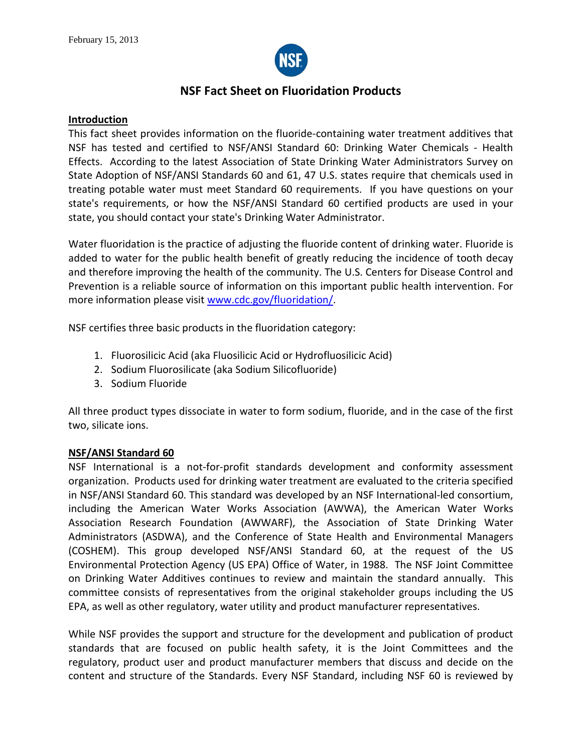

# **NSF Fact Sheet on Fluoridation Products**

### **Introduction**

This fact sheet provides information on the fluoride-containing water treatment additives that NSF has tested and certified to NSF/ANSI Standard 60: Drinking Water Chemicals - Health Effects. According to the latest Association of State Drinking Water Administrators Survey on State Adoption of NSF/ANSI Standards 60 and 61, 47 U.S. states require that chemicals used in treating potable water must meet Standard 60 requirements. If you have questions on your state's requirements, or how the NSF/ANSI Standard 60 certified products are used in your state, you should contact your state's Drinking Water Administrator.

Water fluoridation is the practice of adjusting the fluoride content of drinking water. Fluoride is added to water for the public health benefit of greatly reducing the incidence of tooth decay and therefore improving the health of the community. The U.S. Centers for Disease Control and Prevention is a reliable source of information on this important public health intervention. For more information please visit [www.cdc.gov/fluoridation/.](http://www.cdc.gov/fluoridation/)

NSF certifies three basic products in the fluoridation category:

- 1. Fluorosilicic Acid (aka Fluosilicic Acid or Hydrofluosilicic Acid)
- 2. Sodium Fluorosilicate (aka Sodium Silicofluoride)
- 3. Sodium Fluoride

All three product types dissociate in water to form sodium, fluoride, and in the case of the first two, silicate ions.

### **NSF/ANSI Standard 60**

NSF International is a not-for-profit standards development and conformity assessment organization. Products used for drinking water treatment are evaluated to the criteria specified in NSF/ANSI Standard 60. This standard was developed by an NSF International-led consortium, including the American Water Works Association (AWWA), the American Water Works Association Research Foundation (AWWARF), the Association of State Drinking Water Administrators (ASDWA), and the Conference of State Health and Environmental Managers (COSHEM). This group developed NSF/ANSI Standard 60, at the request of the US Environmental Protection Agency (US EPA) Office of Water, in 1988. The NSF Joint Committee on Drinking Water Additives continues to review and maintain the standard annually. This committee consists of representatives from the original stakeholder groups including the US EPA, as well as other regulatory, water utility and product manufacturer representatives.

While NSF provides the support and structure for the development and publication of product standards that are focused on public health safety, it is the Joint Committees and the regulatory, product user and product manufacturer members that discuss and decide on the content and structure of the Standards. Every NSF Standard, including NSF 60 is reviewed by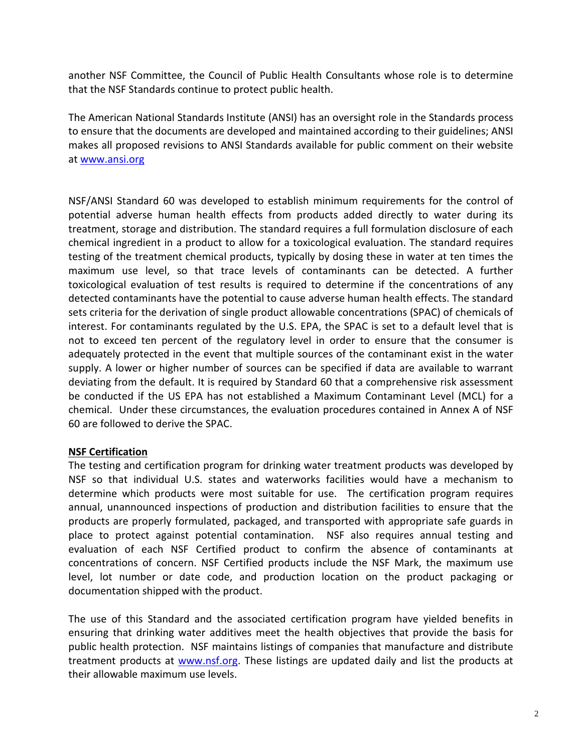another NSF Committee, the Council of Public Health Consultants whose role is to determine that the NSF Standards continue to protect public health.

The American National Standards Institute (ANSI) has an oversight role in the Standards process to ensure that the documents are developed and maintained according to their guidelines; ANSI makes all proposed revisions to ANSI Standards available for public comment on their website at [www.ansi.org](http://www.ansi.org/)

NSF/ANSI Standard 60 was developed to establish minimum requirements for the control of potential adverse human health effects from products added directly to water during its treatment, storage and distribution. The standard requires a full formulation disclosure of each chemical ingredient in a product to allow for a toxicological evaluation. The standard requires testing of the treatment chemical products, typically by dosing these in water at ten times the maximum use level, so that trace levels of contaminants can be detected. A further toxicological evaluation of test results is required to determine if the concentrations of any detected contaminants have the potential to cause adverse human health effects. The standard sets criteria for the derivation of single product allowable concentrations (SPAC) of chemicals of interest. For contaminants regulated by the U.S. EPA, the SPAC is set to a default level that is not to exceed ten percent of the regulatory level in order to ensure that the consumer is adequately protected in the event that multiple sources of the contaminant exist in the water supply. A lower or higher number of sources can be specified if data are available to warrant deviating from the default. It is required by Standard 60 that a comprehensive risk assessment be conducted if the US EPA has not established a Maximum Contaminant Level (MCL) for a chemical. Under these circumstances, the evaluation procedures contained in Annex A of NSF 60 are followed to derive the SPAC.

# **NSF Certification**

The testing and certification program for drinking water treatment products was developed by NSF so that individual U.S. states and waterworks facilities would have a mechanism to determine which products were most suitable for use. The certification program requires annual, unannounced inspections of production and distribution facilities to ensure that the products are properly formulated, packaged, and transported with appropriate safe guards in place to protect against potential contamination. NSF also requires annual testing and evaluation of each NSF Certified product to confirm the absence of contaminants at concentrations of concern. NSF Certified products include the NSF Mark, the maximum use level, lot number or date code, and production location on the product packaging or documentation shipped with the product.

The use of this Standard and the associated certification program have yielded benefits in ensuring that drinking water additives meet the health objectives that provide the basis for public health protection. NSF maintains listings of companies that manufacture and distribute treatment products at [www.nsf.org.](http://www.nsf.org/) These listings are updated daily and list the products at their allowable maximum use levels.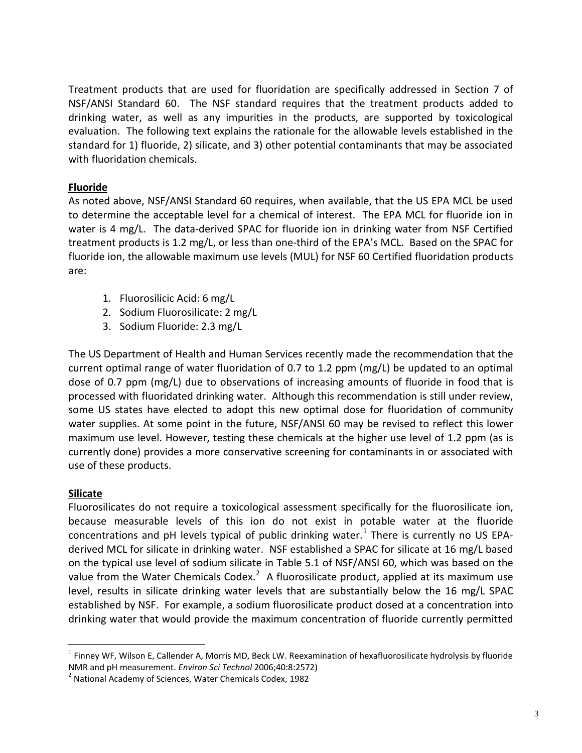Treatment products that are used for fluoridation are specifically addressed in Section 7 of NSF/ANSI Standard 60. The NSF standard requires that the treatment products added to drinking water, as well as any impurities in the products, are supported by toxicological evaluation. The following text explains the rationale for the allowable levels established in the standard for 1) fluoride, 2) silicate, and 3) other potential contaminants that may be associated with fluoridation chemicals.

# **Fluoride**

As noted above, NSF/ANSI Standard 60 requires, when available, that the US EPA MCL be used to determine the acceptable level for a chemical of interest. The EPA MCL for fluoride ion in water is 4 mg/L. The data-derived SPAC for fluoride ion in drinking water from NSF Certified treatment products is 1.2 mg/L, or less than one-third of the EPA's MCL. Based on the SPAC for fluoride ion, the allowable maximum use levels (MUL) for NSF 60 Certified fluoridation products are:

- 1. Fluorosilicic Acid: 6 mg/L
- 2. Sodium Fluorosilicate: 2 mg/L
- 3. Sodium Fluoride: 2.3 mg/L

The US Department of Health and Human Services recently made the recommendation that the current optimal range of water fluoridation of 0.7 to 1.2 ppm (mg/L) be updated to an optimal dose of 0.7 ppm (mg/L) due to observations of increasing amounts of fluoride in food that is processed with fluoridated drinking water. Although this recommendation is still under review, some US states have elected to adopt this new optimal dose for fluoridation of community water supplies. At some point in the future, NSF/ANSI 60 may be revised to reflect this lower maximum use level. However, testing these chemicals at the higher use level of 1.2 ppm (as is currently done) provides a more conservative screening for contaminants in or associated with use of these products.

### **Silicate**

Fluorosilicates do not require a toxicological assessment specifically for the fluorosilicate ion, because measurable levels of this ion do not exist in potable water at the fluoride concentrations and pH levels typical of public drinking water.<sup>[1](#page-2-0)</sup> There is currently no US EPAderived MCL for silicate in drinking water. NSF established a SPAC for silicate at 16 mg/L based on the typical use level of sodium silicate in Table 5.1 of NSF/ANSI 60, which was based on the value from the Water Chemicals Codex.<sup>[2](#page-2-1)</sup> A fluorosilicate product, applied at its maximum use level, results in silicate drinking water levels that are substantially below the 16 mg/L SPAC established by NSF. For example, a sodium fluorosilicate product dosed at a concentration into drinking water that would provide the maximum concentration of fluoride currently permitted

<span id="page-2-0"></span><sup>&</sup>lt;sup>1</sup> Finney WF, Wilson E, Callender A, Morris MD, Beck LW. Reexamination of hexafluorosilicate hydrolysis by fluoride<br>NMR and pH measurement. *Environ Sci Technol* 2006;40:8:2572)

<span id="page-2-1"></span><sup>&</sup>lt;sup>2</sup> National Academy of Sciences, Water Chemicals Codex, 1982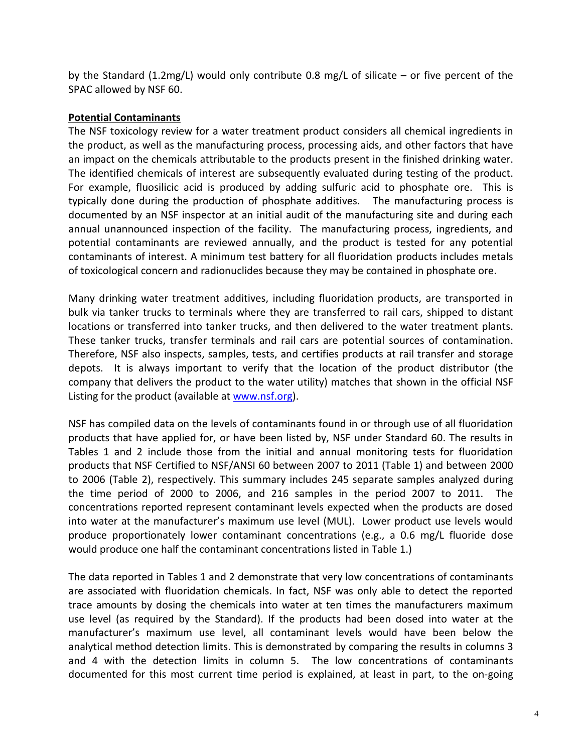by the Standard (1.2mg/L) would only contribute 0.8 mg/L of silicate – or five percent of the SPAC allowed by NSF 60.

## **Potential Contaminants**

The NSF toxicology review for a water treatment product considers all chemical ingredients in the product, as well as the manufacturing process, processing aids, and other factors that have an impact on the chemicals attributable to the products present in the finished drinking water. The identified chemicals of interest are subsequently evaluated during testing of the product. For example, fluosilicic acid is produced by adding sulfuric acid to phosphate ore. This is typically done during the production of phosphate additives. The manufacturing process is documented by an NSF inspector at an initial audit of the manufacturing site and during each annual unannounced inspection of the facility. The manufacturing process, ingredients, and potential contaminants are reviewed annually, and the product is tested for any potential contaminants of interest. A minimum test battery for all fluoridation products includes metals of toxicological concern and radionuclides because they may be contained in phosphate ore.

Many drinking water treatment additives, including fluoridation products, are transported in bulk via tanker trucks to terminals where they are transferred to rail cars, shipped to distant locations or transferred into tanker trucks, and then delivered to the water treatment plants. These tanker trucks, transfer terminals and rail cars are potential sources of contamination. Therefore, NSF also inspects, samples, tests, and certifies products at rail transfer and storage depots. It is always important to verify that the location of the product distributor (the company that delivers the product to the water utility) matches that shown in the official NSF Listing for the product (available at [www.nsf.org\)](http://www.nsf.org/).

NSF has compiled data on the levels of contaminants found in or through use of all fluoridation products that have applied for, or have been listed by, NSF under Standard 60. The results in Tables 1 and 2 include those from the initial and annual monitoring tests for fluoridation products that NSF Certified to NSF/ANSI 60 between 2007 to 2011 (Table 1) and between 2000 to 2006 (Table 2), respectively. This summary includes 245 separate samples analyzed during the time period of 2000 to 2006, and 216 samples in the period 2007 to 2011. The concentrations reported represent contaminant levels expected when the products are dosed into water at the manufacturer's maximum use level (MUL). Lower product use levels would produce proportionately lower contaminant concentrations (e.g., a 0.6 mg/L fluoride dose would produce one half the contaminant concentrations listed in Table 1.)

The data reported in Tables 1 and 2 demonstrate that very low concentrations of contaminants are associated with fluoridation chemicals. In fact, NSF was only able to detect the reported trace amounts by dosing the chemicals into water at ten times the manufacturers maximum use level (as required by the Standard). If the products had been dosed into water at the manufacturer's maximum use level, all contaminant levels would have been below the analytical method detection limits. This is demonstrated by comparing the results in columns 3 and 4 with the detection limits in column 5. The low concentrations of contaminants documented for this most current time period is explained, at least in part, to the on-going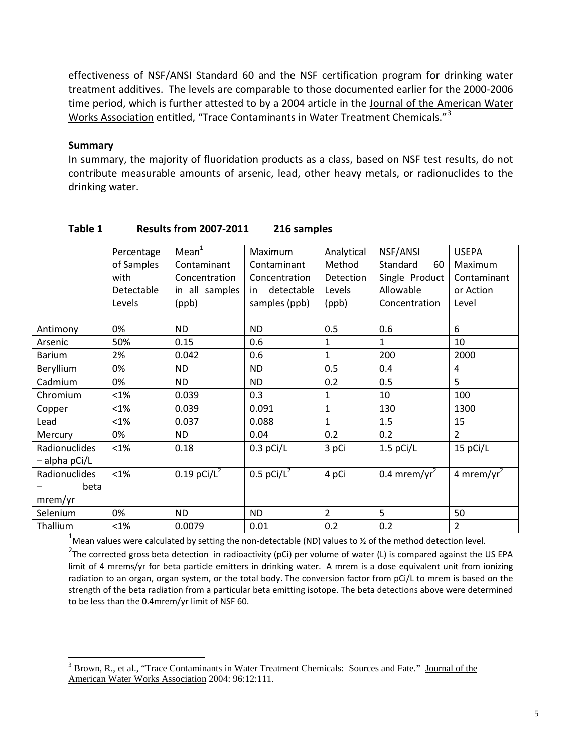effectiveness of NSF/ANSI Standard 60 and the NSF certification program for drinking water treatment additives. The levels are comparable to those documented earlier for the 2000-2006 time period, which is further attested to by a 2004 article in the Journal of the American Water Works Association entitled, "Trace Contaminants in Water Treatment Chemicals."<sup>[3](#page-4-0)</sup>

#### **Summary**

In summary, the majority of fluoridation products as a class, based on NSF test results, do not contribute measurable amounts of arsenic, lead, other heavy metals, or radionuclides to the drinking water.

|                 | Percentage | Mean <sup>1</sup>         | Maximum                  | Analytical     | NSF/ANSI                 | <b>USEPA</b>           |
|-----------------|------------|---------------------------|--------------------------|----------------|--------------------------|------------------------|
|                 | of Samples | Contaminant               | Contaminant              | Method         | Standard<br>60           | Maximum                |
|                 | with       | Concentration             | Concentration            | Detection      | Single Product           | Contaminant            |
|                 | Detectable | in all samples            | detectable<br>in         | Levels         | Allowable                | or Action              |
|                 | Levels     | (ppb)                     | samples (ppb)            | (ppb)          | Concentration            | Level                  |
|                 |            |                           |                          |                |                          |                        |
| Antimony        | 0%         | <b>ND</b>                 | <b>ND</b>                | 0.5            | 0.6                      | 6                      |
| Arsenic         | 50%        | 0.15                      | 0.6                      | $\mathbf{1}$   | $\mathbf{1}$             | 10                     |
| <b>Barium</b>   | 2%         | 0.042                     | 0.6                      | $\mathbf{1}$   | 200                      | 2000                   |
| Beryllium       | 0%         | <b>ND</b>                 | <b>ND</b>                | 0.5            | 0.4                      | 4                      |
| Cadmium         | 0%         | <b>ND</b>                 | <b>ND</b>                | 0.2            | 0.5                      | 5                      |
| Chromium        | $< 1\%$    | 0.039                     | 0.3                      | $\mathbf{1}$   | 10                       | 100                    |
| Copper          | $< 1\%$    | 0.039                     | 0.091                    | $\mathbf{1}$   | 130                      | 1300                   |
| Lead            | $< 1\%$    | 0.037                     | 0.088                    | $\mathbf{1}$   | 1.5                      | 15                     |
| Mercury         | 0%         | <b>ND</b>                 | 0.04                     | 0.2            | 0.2                      | 2                      |
| Radionuclides   | $< 1\%$    | 0.18                      | $0.3$ pCi/L              | 3 pCi          | $1.5$ pCi/L              | 15 pCi/L               |
| $-$ alpha pCi/L |            |                           |                          |                |                          |                        |
| Radionuclides   | $< 1\%$    | $0.19$ pCi/L <sup>2</sup> | $0.5$ pCi/L <sup>2</sup> | 4 pCi          | 0.4 mrem/yr <sup>2</sup> | 4 mrem/yr <sup>2</sup> |
| beta            |            |                           |                          |                |                          |                        |
| mrem/yr         |            |                           |                          |                |                          |                        |
| Selenium        | 0%         | <b>ND</b>                 | <b>ND</b>                | $\overline{2}$ | 5                        | 50                     |
| Thallium        | $< 1\%$    | 0.0079                    | 0.01                     | 0.2            | 0.2                      | $\overline{2}$         |

#### **Table 1 Results from 2007-2011 216 samples**

<sup>1</sup>Mean values were calculated by setting the non-detectable (ND) values to ½ of the method detection level.

<sup>2</sup>The corrected gross beta detection in radioactivity (pCi) per volume of water (L) is compared against the US EPA limit of 4 mrems/yr for beta particle emitters in drinking water. A mrem is a dose equivalent unit from ionizing radiation to an organ, organ system, or the total body. The conversion factor from pCi/L to mrem is based on the strength of the beta radiation from a particular beta emitting isotope. The beta detections above were determined to be less than the 0.4mrem/yr limit of NSF 60.

<span id="page-4-0"></span><sup>&</sup>lt;sup>3</sup> Brown, R., et al., "Trace Contaminants in Water Treatment Chemicals: Sources and Fate." Journal of the American Water Works Association 2004: 96:12:111.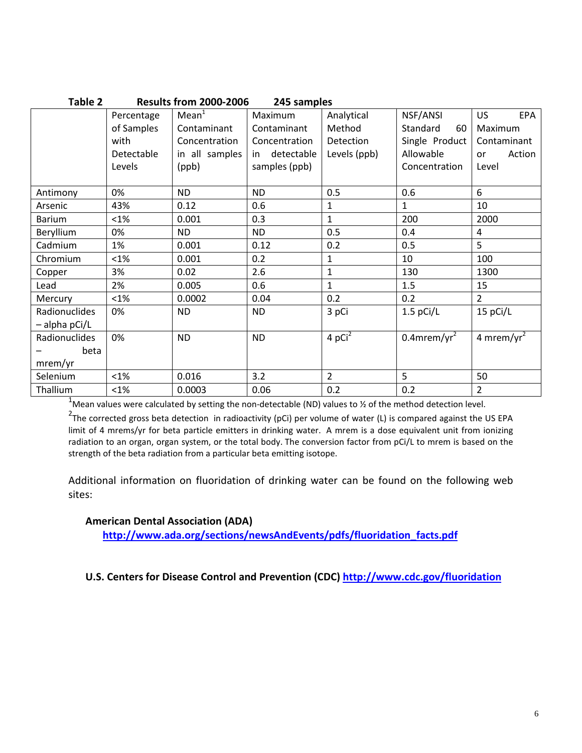| <b>Results from 2000-2006</b><br>Table 2<br>245 samples |            |                   |               |                |                            |                        |  |  |
|---------------------------------------------------------|------------|-------------------|---------------|----------------|----------------------------|------------------------|--|--|
|                                                         | Percentage | Mean <sup>1</sup> | Maximum       | Analytical     | NSF/ANSI                   | <b>US</b><br>EPA       |  |  |
|                                                         | of Samples | Contaminant       | Contaminant   | Method         | Standard<br>60             | Maximum                |  |  |
|                                                         | with       | Concentration     | Concentration | Detection      | Single Product             | Contaminant            |  |  |
|                                                         | Detectable | in all samples    | in detectable | Levels (ppb)   | Allowable                  | Action<br>or           |  |  |
|                                                         | Levels     | (ppb)             | samples (ppb) |                | Concentration              | Level                  |  |  |
|                                                         |            |                   |               |                |                            |                        |  |  |
| Antimony                                                | 0%         | ND.               | ND.           | 0.5            | 0.6                        | 6                      |  |  |
| Arsenic                                                 | 43%        | 0.12              | 0.6           | $\mathbf{1}$   | $\mathbf{1}$               | 10                     |  |  |
| Barium                                                  | $< 1\%$    | 0.001             | 0.3           | $\mathbf{1}$   | 200                        | 2000                   |  |  |
| Beryllium                                               | 0%         | <b>ND</b>         | <b>ND</b>     | 0.5            | 0.4                        | 4                      |  |  |
| Cadmium                                                 | 1%         | 0.001             | 0.12          | 0.2            | 0.5                        | 5 <sup>1</sup>         |  |  |
| Chromium                                                | $< 1\%$    | 0.001             | 0.2           | $\mathbf{1}$   | 10                         | 100                    |  |  |
| Copper                                                  | 3%         | 0.02              | 2.6           | $\mathbf{1}$   | 130                        | 1300                   |  |  |
| Lead                                                    | 2%         | 0.005             | 0.6           | $\mathbf{1}$   | 1.5                        | 15                     |  |  |
| Mercury                                                 | $<1\%$     | 0.0002            | 0.04          | 0.2            | 0.2                        | $\overline{2}$         |  |  |
| Radionuclides                                           | 0%         | <b>ND</b>         | <b>ND</b>     | 3 pCi          | $1.5$ pCi/L                | 15 pCi/L               |  |  |
| - alpha pCi/L                                           |            |                   |               |                |                            |                        |  |  |
| Radionuclides                                           | 0%         | <b>ND</b>         | <b>ND</b>     | 4 $pCi2$       | $0.4$ mrem/yr <sup>2</sup> | 4 mrem/yr <sup>2</sup> |  |  |
| beta                                                    |            |                   |               |                |                            |                        |  |  |
| mrem/yr                                                 |            |                   |               |                |                            |                        |  |  |
| Selenium                                                | $< 1\%$    | 0.016             | 3.2           | $\overline{2}$ | 5                          | 50                     |  |  |
| Thallium                                                | $< 1\%$    | 0.0003            | 0.06          | 0.2            | 0.2                        | $\overline{2}$         |  |  |

<sup>1</sup>Mean values were calculated by setting the non-detectable (ND) values to ½ of the method detection level.

<sup>2</sup>The corrected gross beta detection in radioactivity (pCi) per volume of water (L) is compared against the US EPA limit of 4 mrems/yr for beta particle emitters in drinking water. A mrem is a dose equivalent unit from ionizing radiation to an organ, organ system, or the total body. The conversion factor from pCi/L to mrem is based on the strength of the beta radiation from a particular beta emitting isotope.

Additional information on fluoridation of drinking water can be found on the following web sites:

#### **American Dental Association (ADA)**

**[http://www.ada.org/sections/newsAndEvents/pdfs/fluoridation\\_facts.pdf](http://www.ada.org/sections/newsAndEvents/pdfs/fluoridation_facts.pdf)**

**U.S. Centers for Disease Control and Prevention (CDC)<http://www.cdc.gov/fluoridation>**